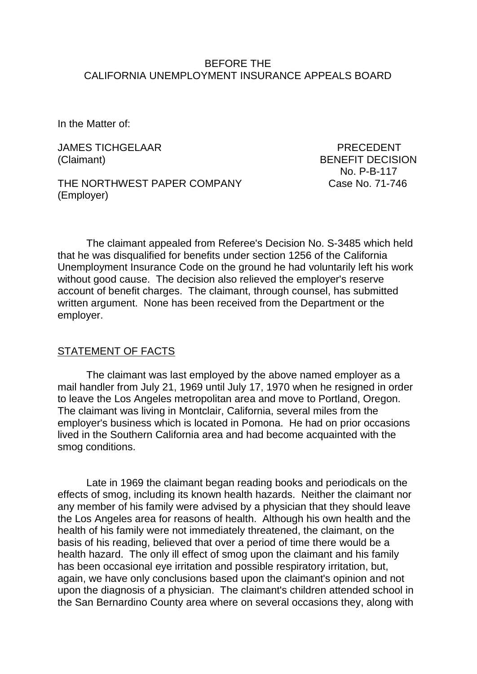### BEFORE THE CALIFORNIA UNEMPLOYMENT INSURANCE APPEALS BOARD

In the Matter of:

JAMES TICHGELAAR PRECEDENT (Claimant) BENEFIT DECISION

THE NORTHWEST PAPER COMPANY Case No. 71-746 (Employer)

No. P-B-117

The claimant appealed from Referee's Decision No. S-3485 which held that he was disqualified for benefits under section 1256 of the California Unemployment Insurance Code on the ground he had voluntarily left his work without good cause. The decision also relieved the employer's reserve account of benefit charges. The claimant, through counsel, has submitted written argument. None has been received from the Department or the employer.

#### STATEMENT OF FACTS

The claimant was last employed by the above named employer as a mail handler from July 21, 1969 until July 17, 1970 when he resigned in order to leave the Los Angeles metropolitan area and move to Portland, Oregon. The claimant was living in Montclair, California, several miles from the employer's business which is located in Pomona. He had on prior occasions lived in the Southern California area and had become acquainted with the smog conditions.

Late in 1969 the claimant began reading books and periodicals on the effects of smog, including its known health hazards. Neither the claimant nor any member of his family were advised by a physician that they should leave the Los Angeles area for reasons of health. Although his own health and the health of his family were not immediately threatened, the claimant, on the basis of his reading, believed that over a period of time there would be a health hazard. The only ill effect of smog upon the claimant and his family has been occasional eye irritation and possible respiratory irritation, but, again, we have only conclusions based upon the claimant's opinion and not upon the diagnosis of a physician. The claimant's children attended school in the San Bernardino County area where on several occasions they, along with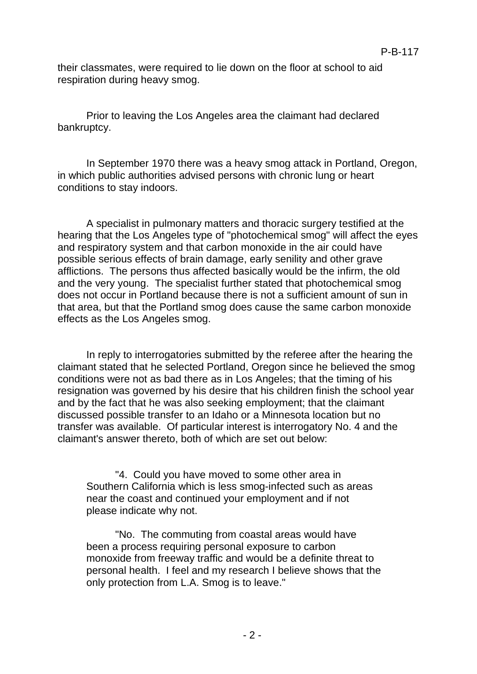their classmates, were required to lie down on the floor at school to aid respiration during heavy smog.

Prior to leaving the Los Angeles area the claimant had declared bankruptcy.

In September 1970 there was a heavy smog attack in Portland, Oregon, in which public authorities advised persons with chronic lung or heart conditions to stay indoors.

A specialist in pulmonary matters and thoracic surgery testified at the hearing that the Los Angeles type of "photochemical smog" will affect the eyes and respiratory system and that carbon monoxide in the air could have possible serious effects of brain damage, early senility and other grave afflictions. The persons thus affected basically would be the infirm, the old and the very young. The specialist further stated that photochemical smog does not occur in Portland because there is not a sufficient amount of sun in that area, but that the Portland smog does cause the same carbon monoxide effects as the Los Angeles smog.

In reply to interrogatories submitted by the referee after the hearing the claimant stated that he selected Portland, Oregon since he believed the smog conditions were not as bad there as in Los Angeles; that the timing of his resignation was governed by his desire that his children finish the school year and by the fact that he was also seeking employment; that the claimant discussed possible transfer to an Idaho or a Minnesota location but no transfer was available. Of particular interest is interrogatory No. 4 and the claimant's answer thereto, both of which are set out below:

"4. Could you have moved to some other area in Southern California which is less smog-infected such as areas near the coast and continued your employment and if not please indicate why not.

"No. The commuting from coastal areas would have been a process requiring personal exposure to carbon monoxide from freeway traffic and would be a definite threat to personal health. I feel and my research I believe shows that the only protection from L.A. Smog is to leave."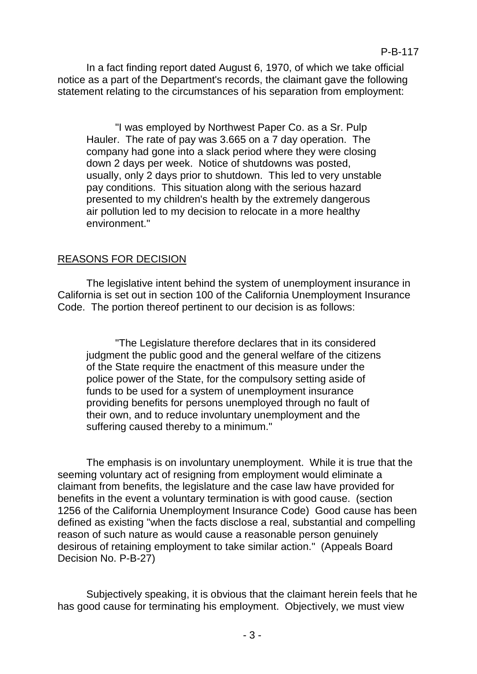In a fact finding report dated August 6, 1970, of which we take official notice as a part of the Department's records, the claimant gave the following statement relating to the circumstances of his separation from employment:

"I was employed by Northwest Paper Co. as a Sr. Pulp Hauler. The rate of pay was 3.665 on a 7 day operation. The company had gone into a slack period where they were closing down 2 days per week. Notice of shutdowns was posted, usually, only 2 days prior to shutdown. This led to very unstable pay conditions. This situation along with the serious hazard presented to my children's health by the extremely dangerous air pollution led to my decision to relocate in a more healthy environment."

## REASONS FOR DECISION

The legislative intent behind the system of unemployment insurance in California is set out in section 100 of the California Unemployment Insurance Code. The portion thereof pertinent to our decision is as follows:

"The Legislature therefore declares that in its considered judgment the public good and the general welfare of the citizens of the State require the enactment of this measure under the police power of the State, for the compulsory setting aside of funds to be used for a system of unemployment insurance providing benefits for persons unemployed through no fault of their own, and to reduce involuntary unemployment and the suffering caused thereby to a minimum."

The emphasis is on involuntary unemployment. While it is true that the seeming voluntary act of resigning from employment would eliminate a claimant from benefits, the legislature and the case law have provided for benefits in the event a voluntary termination is with good cause. (section 1256 of the California Unemployment Insurance Code) Good cause has been defined as existing "when the facts disclose a real, substantial and compelling reason of such nature as would cause a reasonable person genuinely desirous of retaining employment to take similar action." (Appeals Board Decision No. P-B-27)

Subjectively speaking, it is obvious that the claimant herein feels that he has good cause for terminating his employment. Objectively, we must view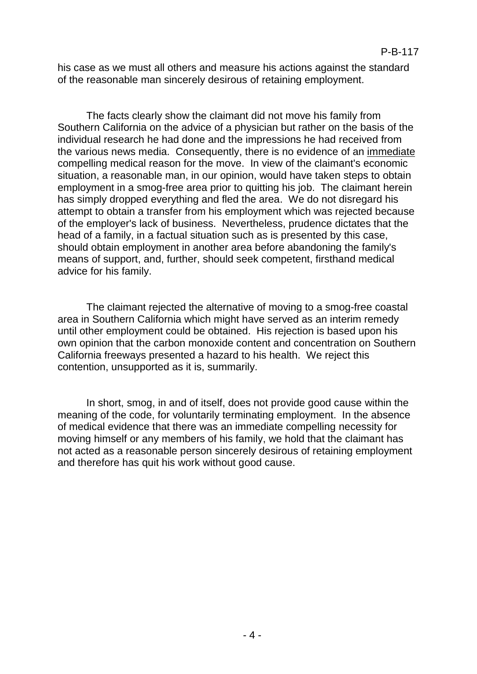his case as we must all others and measure his actions against the standard of the reasonable man sincerely desirous of retaining employment.

The facts clearly show the claimant did not move his family from Southern California on the advice of a physician but rather on the basis of the individual research he had done and the impressions he had received from the various news media. Consequently, there is no evidence of an immediate compelling medical reason for the move. In view of the claimant's economic situation, a reasonable man, in our opinion, would have taken steps to obtain employment in a smog-free area prior to quitting his job. The claimant herein has simply dropped everything and fled the area. We do not disregard his attempt to obtain a transfer from his employment which was rejected because of the employer's lack of business. Nevertheless, prudence dictates that the head of a family, in a factual situation such as is presented by this case, should obtain employment in another area before abandoning the family's means of support, and, further, should seek competent, firsthand medical advice for his family.

The claimant rejected the alternative of moving to a smog-free coastal area in Southern California which might have served as an interim remedy until other employment could be obtained. His rejection is based upon his own opinion that the carbon monoxide content and concentration on Southern California freeways presented a hazard to his health. We reject this contention, unsupported as it is, summarily.

In short, smog, in and of itself, does not provide good cause within the meaning of the code, for voluntarily terminating employment. In the absence of medical evidence that there was an immediate compelling necessity for moving himself or any members of his family, we hold that the claimant has not acted as a reasonable person sincerely desirous of retaining employment and therefore has quit his work without good cause.